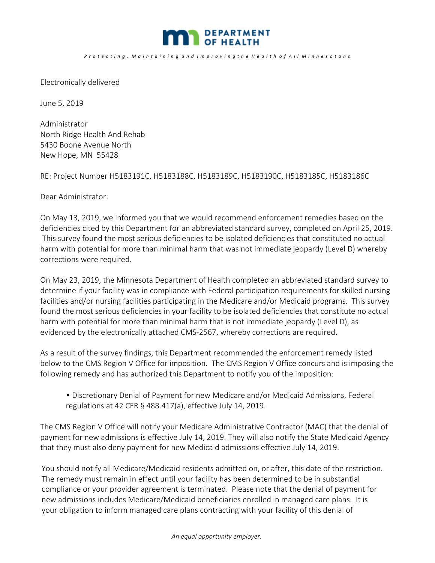

*P r o t e c t i n g , M a i n t a i n i n g a n d I m p r o v i n g t h e H e a l t h o f A l l M i n n e s o t a n s*

Electronically delivered

June 5, 2019

Administrator North Ridge Health And Rehab 5430 Boone Avenue North New Hope, MN 55428

RE: Project Number H5183191C, H5183188C, H5183189C, H5183190C, H5183185C, H5183186C

Dear Administrator:

On May 13, 2019, we informed you that we would recommend enforcement remedies based on the deficiencies cited by this Department for an abbreviated standard survey, completed on April 25, 2019. This survey found the most serious deficiencies to be isolated deficiencies that constituted no actual harm with potential for more than minimal harm that was not immediate jeopardy (Level D) whereby corrections were required.

On May 23, 2019, the Minnesota Department of Health completed an abbreviated standard survey to determine if your facility was in compliance with Federal participation requirements for skilled nursing facilities and/or nursing facilities participating in the Medicare and/or Medicaid programs. This survey found the most serious deficiencies in your facility to be isolated deficiencies that constitute no actual harm with potential for more than minimal harm that is not immediate jeopardy (Level D), as evidenced by the electronically attached CMS‐2567, whereby corrections are required.

As a result of the survey findings, this Department recommended the enforcement remedy listed below to the CMS Region V Office for imposition. The CMS Region V Office concurs and is imposing the following remedy and has authorized this Department to notify you of the imposition:

• Discretionary Denial of Payment for new Medicare and/or Medicaid Admissions, Federal regulations at 42 CFR § 488.417(a), effective July 14, 2019.

The CMS Region V Office will notify your Medicare Administrative Contractor (MAC) that the denial of payment for new admissions is effective July 14, 2019. They will also notify the State Medicaid Agency that they must also deny payment for new Medicaid admissions effective July 14, 2019.

You should notify all Medicare/Medicaid residents admitted on, or after, this date of the restriction. The remedy must remain in effect until your facility has been determined to be in substantial compliance or your provider agreement is terminated. Please note that the denial of payment for new admissions includes Medicare/Medicaid beneficiaries enrolled in managed care plans. It is your obligation to inform managed care plans contracting with your facility of this denial of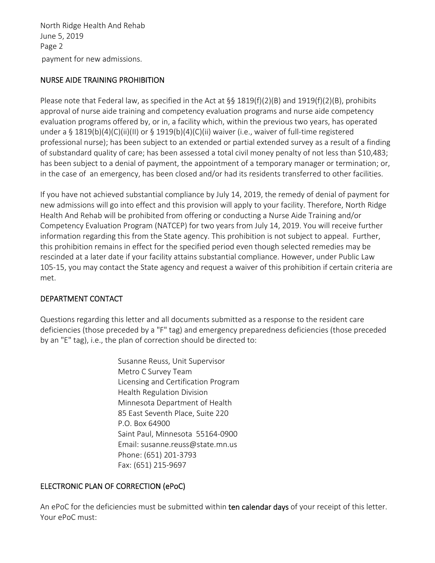payment for new admissions. North Ridge Health And Rehab June 5, 2019 Page 2

# NURSE AIDE TRAINING PROHIBITION

Please note that Federal law, as specified in the Act at  $\S$ § 1819(f)(2)(B) and 1919(f)(2)(B), prohibits approval of nurse aide training and competency evaluation programs and nurse aide competency evaluation programs offered by, or in, a facility which, within the previous two years, has operated under a § 1819(b)(4)(C)(ii)(II) or § 1919(b)(4)(C)(ii) waiver (i.e., waiver of full-time registered professional nurse); has been subject to an extended or partial extended survey as a result of a finding of substandard quality of care; has been assessed a total civil money penalty of not less than \$10,483; has been subject to a denial of payment, the appointment of a temporary manager or termination; or, in the case of an emergency, has been closed and/or had its residents transferred to other facilities.

If you have not achieved substantial compliance by July 14, 2019, the remedy of denial of payment for new admissions will go into effect and this provision will apply to your facility. Therefore, North Ridge Health And Rehab will be prohibited from offering or conducting a Nurse Aide Training and/or Competency Evaluation Program (NATCEP) for two years from July 14, 2019. You will receive further information regarding this from the State agency. This prohibition is not subject to appeal. Further, this prohibition remains in effect for the specified period even though selected remedies may be rescinded at a later date if your facility attains substantial compliance. However, under Public Law 105-15, you may contact the State agency and request a waiver of this prohibition if certain criteria are met.

# DEPARTMENT CONTACT

Questions regarding this letter and all documents submitted as a response to the resident care deficiencies (those preceded by a "F" tag) and emergency preparedness deficiencies (those preceded by an "E" tag), i.e., the plan of correction should be directed to:

> Susanne Reuss, Unit Supervisor Metro C Survey Team Licensing and Certification Program Health Regulation Division Minnesota Department of Health 85 East Seventh Place, Suite 220 P.O. Box 64900 Saint Paul, Minnesota 55164‐0900 Email: susanne.reuss@state.mn.us Phone: (651) 201‐3793 Fax: (651) 215‐9697

### ELECTRONIC PLAN OF CORRECTION (ePoC)

An ePoC for the deficiencies must be submitted within ten calendar days of your receipt of this letter. Your ePoC must: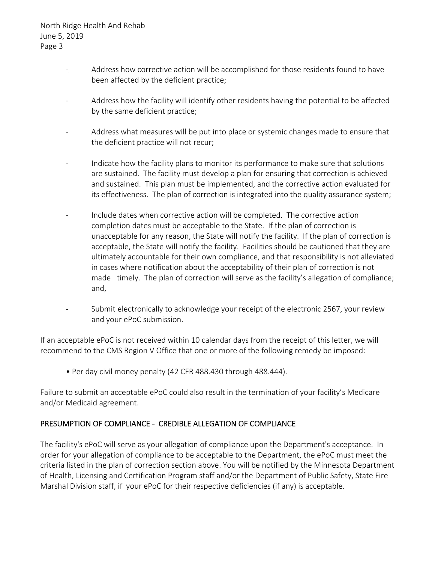- ‐Address how corrective action will be accomplished for those residents found to have been affected by the deficient practice;
- ‐ Address how the facility will identify other residents having the potential to be affected by the same deficient practice;
- ‐ Address what measures will be put into place or systemic changes made to ensure that the deficient practice will not recur;
- ‐ Indicate how the facility plans to monitor its performance to make sure that solutions are sustained. The facility must develop a plan for ensuring that correction is achieved and sustained. This plan must be implemented, and the corrective action evaluated for its effectiveness. The plan of correction is integrated into the quality assurance system;
- ‐ Include dates when corrective action will be completed. The corrective action completion dates must be acceptable to the State. If the plan of correction is unacceptable for any reason, the State will notify the facility. If the plan of correction is acceptable, the State will notify the facility. Facilities should be cautioned that they are ultimately accountable for their own compliance, and that responsibility is not alleviated in cases where notification about the acceptability of their plan of correction is not made timely. The plan of correction will serve as the facility's allegation of compliance; and,
- ‐ Submit electronically to acknowledge your receipt of the electronic 2567, your review and your ePoC submission.

If an acceptable ePoC is not received within 10 calendar days from the receipt of this letter, we will recommend to the CMS Region V Office that one or more of the following remedy be imposed:

• Per day civil money penalty (42 CFR 488.430 through 488.444).

Failure to submit an acceptable ePoC could also result in the termination of your facility's Medicare and/or Medicaid agreement.

### PRESUMPTION OF COMPLIANCE ‐ CREDIBLE ALLEGATION OF COMPLIANCE

The facility's ePoC will serve as your allegation of compliance upon the Department's acceptance. In order for your allegation of compliance to be acceptable to the Department, the ePoC must meet the criteria listed in the plan of correction section above. You will be notified by the Minnesota Department of Health, Licensing and Certification Program staff and/or the Department of Public Safety, State Fire Marshal Division staff, if your ePoC for their respective deficiencies (if any) is acceptable.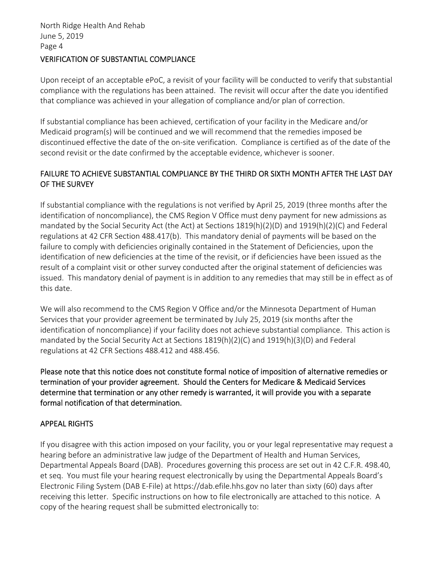#### VERIFICATION OF SUBSTANTIAL COMPLIANCE

Upon receipt of an acceptable ePoC, a revisit of your facility will be conducted to verify that substantial compliance with the regulations has been attained. The revisit will occur after the date you identified that compliance was achieved in your allegation of compliance and/or plan of correction.

If substantial compliance has been achieved, certification of your facility in the Medicare and/or Medicaid program(s) will be continued and we will recommend that the remedies imposed be discontinued effective the date of the on‐site verification. Compliance is certified as of the date of the second revisit or the date confirmed by the acceptable evidence, whichever is sooner.

# FAILURE TO ACHIEVE SUBSTANTIAL COMPLIANCE BY THE THIRD OR SIXTH MONTH AFTER THE LAST DAY OF THE SURVEY

If substantial compliance with the regulations is not verified by April 25, 2019 (three months after the identification of noncompliance), the CMS Region V Office must deny payment for new admissions as mandated by the Social Security Act (the Act) at Sections 1819(h)(2)(D) and 1919(h)(2)(C) and Federal regulations at 42 CFR Section 488.417(b). This mandatory denial of payments will be based on the failure to comply with deficiencies originally contained in the Statement of Deficiencies, upon the identification of new deficiencies at the time of the revisit, or if deficiencies have been issued as the result of a complaint visit or other survey conducted after the original statement of deficiencies was issued. This mandatory denial of payment is in addition to any remedies that may still be in effect as of this date.

We will also recommend to the CMS Region V Office and/or the Minnesota Department of Human Services that your provider agreement be terminated by July 25, 2019 (six months after the identification of noncompliance) if your facility does not achieve substantial compliance. This action is mandated by the Social Security Act at Sections 1819(h)(2)(C) and 1919(h)(3)(D) and Federal regulations at 42 CFR Sections 488.412 and 488.456.

Please note that this notice does not constitute formal notice of imposition of alternative remedies or termination of your provider agreement. Should the Centers for Medicare & Medicaid Services determine that termination or any other remedy is warranted, it will provide you with a separate formal notification of that determination.

### APPEAL RIGHTS

If you disagree with this action imposed on your facility, you or your legal representative may request a hearing before an administrative law judge of the Department of Health and Human Services, Departmental Appeals Board (DAB). Procedures governing this process are set out in 42 C.F.R. 498.40, et seq. You must file your hearing request electronically by using the Departmental Appeals Board's Electronic Filing System (DAB E‐File) at https://dab.efile.hhs.gov no later than sixty (60) days after receiving this letter. Specific instructions on how to file electronically are attached to this notice. A copy of the hearing request shall be submitted electronically to: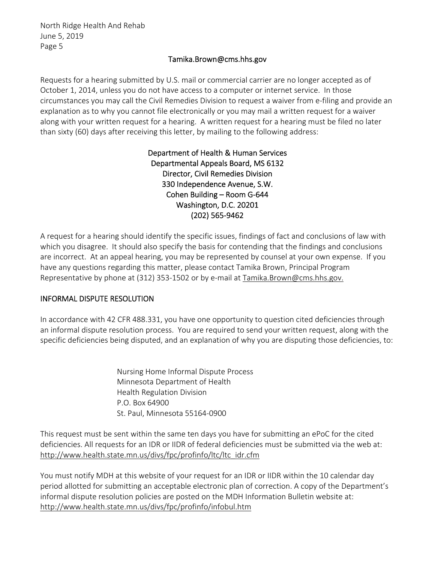## Tamika.Brown@cms.hhs.gov

Requests for a hearing submitted by U.S. mail or commercial carrier are no longer accepted as of October 1, 2014, unless you do not have access to a computer or internet service. In those circumstances you may call the Civil Remedies Division to request a waiver from e‐filing and provide an explanation as to why you cannot file electronically or you may mail a written request for a waiver along with your written request for a hearing. A written request for a hearing must be filed no later than sixty (60) days after receiving this letter, by mailing to the following address:

> Department of Health & Human Services Departmental Appeals Board, MS 6132 Director, Civil Remedies Division 330 Independence Avenue, S.W. Cohen Building – Room G‐644 Washington, D.C. 20201 (202) 565‐9462

A request for a hearing should identify the specific issues, findings of fact and conclusions of law with which you disagree. It should also specify the basis for contending that the findings and conclusions are incorrect. At an appeal hearing, you may be represented by counsel at your own expense. If you have any questions regarding this matter, please contact Tamika Brown, Principal Program Representative by phone at (312) 353‐1502 or by e‐mail at Tamika.Brown@cms.hhs.gov.

### INFORMAL DISPUTE RESOLUTION

In accordance with 42 CFR 488.331, you have one opportunity to question cited deficiencies through an informal dispute resolution process. You are required to send your written request, along with the specific deficiencies being disputed, and an explanation of why you are disputing those deficiencies, to:

> Nursing Home Informal Dispute Process Minnesota Department of Health Health Regulation Division P.O. Box 64900 St. Paul, Minnesota 55164‐0900

This request must be sent within the same ten days you have for submitting an ePoC for the cited deficiencies. All requests for an IDR or IIDR of federal deficiencies must be submitted via the web at: http://www.health.state.mn.us/divs/fpc/profinfo/ltc/ltc\_idr.cfm

You must notify MDH at this website of your request for an IDR or IIDR within the 10 calendar day period allotted for submitting an acceptable electronic plan of correction. A copy of the Department's informal dispute resolution policies are posted on the MDH Information Bulletin website at: http://www.health.state.mn.us/divs/fpc/profinfo/infobul.htm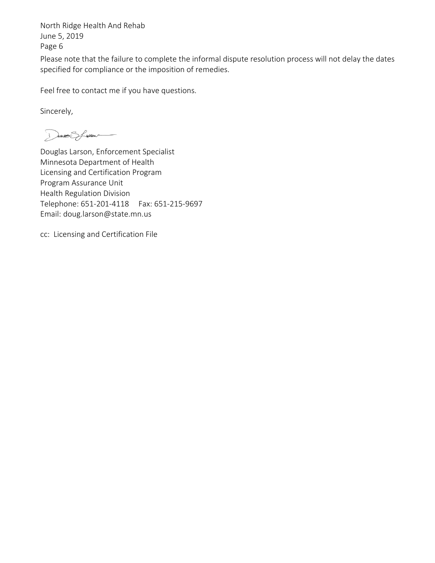Please note that the failure to complete the informal dispute resolution process will not delay the dates specified for compliance or the imposition of remedies.

Feel free to contact me if you have questions.

Sincerely,

DOUBLES freem

Douglas Larson, Enforcement Specialist Minnesota Department of Health Licensing and Certification Program Program Assurance Unit Health Regulation Division Telephone: 651‐201‐4118 Fax: 651‐215‐9697 Email: doug.larson@state.mn.us

cc: Licensing and Certification File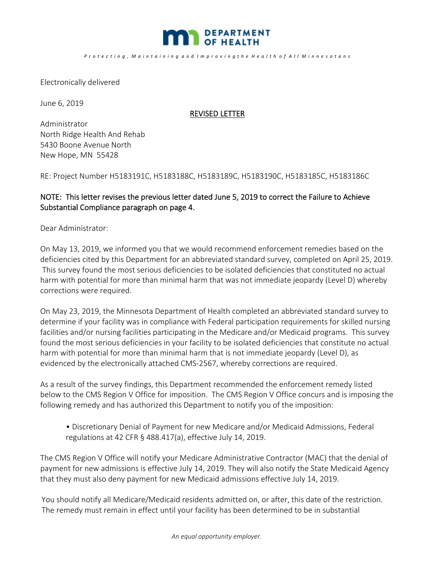

#### *P r o t e c t i n g , M a i n t a i n i n g a n d I m p r o v i n g t h e H e a l t h o f A l l M i n n e s o t a n s*

Electronically delivered

June 6, 2019

#### REVISED LETTER

Administrator North Ridge Health And Rehab 5430 Boone Avenue North New Hope, MN 55428

RE: Project Number H5183191C, H5183188C, H5183189C, H5183190C, H5183185C, H5183186C

# NOTE: This letter revises the previous letter dated June 5, 2019 to correct the Failure to Achieve Substantial Compliance paragraph on page 4.

Dear Administrator:

On May 13, 2019, we informed you that we would recommend enforcement remedies based on the deficiencies cited by this Department for an abbreviated standard survey, completed on April 25, 2019. This survey found the most serious deficiencies to be isolated deficiencies that constituted no actual harm with potential for more than minimal harm that was not immediate jeopardy (Level D) whereby corrections were required.

On May 23, 2019, the Minnesota Department of Health completed an abbreviated standard survey to determine if your facility was in compliance with Federal participation requirements for skilled nursing facilities and/or nursing facilities participating in the Medicare and/or Medicaid programs. This survey found the most serious deficiencies in your facility to be isolated deficiencies that constitute no actual harm with potential for more than minimal harm that is not immediate jeopardy (Level D), as evidenced by the electronically attached CMS‐2567, whereby corrections are required.

As a result of the survey findings, this Department recommended the enforcement remedy listed below to the CMS Region V Office for imposition. The CMS Region V Office concurs and is imposing the following remedy and has authorized this Department to notify you of the imposition:

• Discretionary Denial of Payment for new Medicare and/or Medicaid Admissions, Federal regulations at 42 CFR § 488.417(a), effective July 14, 2019.

The CMS Region V Office will notify your Medicare Administrative Contractor (MAC) that the denial of payment for new admissions is effective July 14, 2019. They will also notify the State Medicaid Agency that they must also deny payment for new Medicaid admissions effective July 14, 2019.

You should notify all Medicare/Medicaid residents admitted on, or after, this date of the restriction. The remedy must remain in effect until your facility has been determined to be in substantial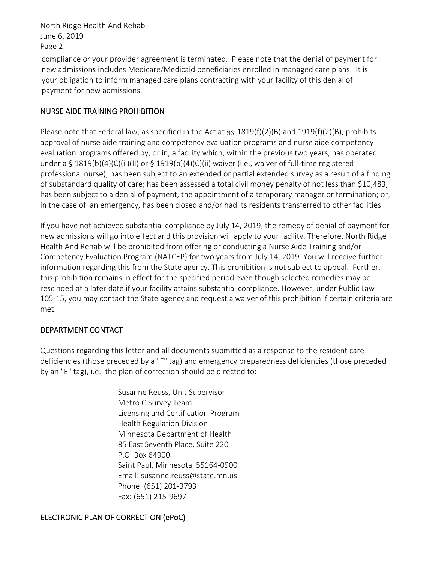compliance or your provider agreement is terminated. Please note that the denial of payment for new admissions includes Medicare/Medicaid beneficiaries enrolled in managed care plans. It is your obligation to inform managed care plans contracting with your facility of this denial of payment for new admissions.

## NURSE AIDE TRAINING PROHIBITION

Please note that Federal law, as specified in the Act at  $\S$ § 1819(f)(2)(B) and 1919(f)(2)(B), prohibits approval of nurse aide training and competency evaluation programs and nurse aide competency evaluation programs offered by, or in, a facility which, within the previous two years, has operated under a § 1819(b)(4)(C)(ii)(II) or § 1919(b)(4)(C)(ii) waiver (i.e., waiver of full-time registered professional nurse); has been subject to an extended or partial extended survey as a result of a finding of substandard quality of care; has been assessed a total civil money penalty of not less than \$10,483; has been subject to a denial of payment, the appointment of a temporary manager or termination; or, in the case of an emergency, has been closed and/or had its residents transferred to other facilities.

If you have not achieved substantial compliance by July 14, 2019, the remedy of denial of payment for new admissions will go into effect and this provision will apply to your facility. Therefore, North Ridge Health And Rehab will be prohibited from offering or conducting a Nurse Aide Training and/or Competency Evaluation Program (NATCEP) for two years from July 14, 2019. You will receive further information regarding this from the State agency. This prohibition is not subject to appeal. Further, this prohibition remains in effect for the specified period even though selected remedies may be rescinded at a later date if your facility attains substantial compliance. However, under Public Law 105‐15, you may contact the State agency and request a waiver of this prohibition if certain criteria are met.

### DEPARTMENT CONTACT

Questions regarding this letter and all documents submitted as a response to the resident care deficiencies (those preceded by a "F" tag) and emergency preparedness deficiencies (those preceded by an "E" tag), i.e., the plan of correction should be directed to:

> Susanne Reuss, Unit Supervisor Metro C Survey Team Licensing and Certification Program Health Regulation Division Minnesota Department of Health 85 East Seventh Place, Suite 220 P.O. Box 64900 Saint Paul, Minnesota 55164‐0900 Email: susanne.reuss@state.mn.us Phone: (651) 201‐3793 Fax: (651) 215‐9697

# ELECTRONIC PLAN OF CORRECTION (ePoC)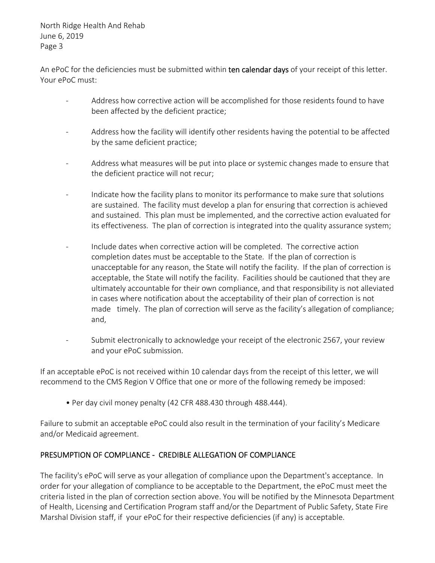An ePoC for the deficiencies must be submitted within ten calendar days of your receipt of this letter. Your ePoC must:

- ‐Address how corrective action will be accomplished for those residents found to have been affected by the deficient practice;
- ‐ Address how the facility will identify other residents having the potential to be affected by the same deficient practice;
- ‐ Address what measures will be put into place or systemic changes made to ensure that the deficient practice will not recur;
- ‐ Indicate how the facility plans to monitor its performance to make sure that solutions are sustained. The facility must develop a plan for ensuring that correction is achieved and sustained. This plan must be implemented, and the corrective action evaluated for its effectiveness. The plan of correction is integrated into the quality assurance system;
- ‐ Include dates when corrective action will be completed. The corrective action completion dates must be acceptable to the State. If the plan of correction is unacceptable for any reason, the State will notify the facility. If the plan of correction is acceptable, the State will notify the facility. Facilities should be cautioned that they are ultimately accountable for their own compliance, and that responsibility is not alleviated in cases where notification about the acceptability of their plan of correction is not made timely. The plan of correction will serve as the facility's allegation of compliance; and,
- Submit electronically to acknowledge your receipt of the electronic 2567, your review and your ePoC submission.

If an acceptable ePoC is not received within 10 calendar days from the receipt of this letter, we will recommend to the CMS Region V Office that one or more of the following remedy be imposed:

• Per day civil money penalty (42 CFR 488.430 through 488.444).

Failure to submit an acceptable ePoC could also result in the termination of your facility's Medicare and/or Medicaid agreement.

# PRESUMPTION OF COMPLIANCE ‐ CREDIBLE ALLEGATION OF COMPLIANCE

The facility's ePoC will serve as your allegation of compliance upon the Department's acceptance. In order for your allegation of compliance to be acceptable to the Department, the ePoC must meet the criteria listed in the plan of correction section above. You will be notified by the Minnesota Department of Health, Licensing and Certification Program staff and/or the Department of Public Safety, State Fire Marshal Division staff, if your ePoC for their respective deficiencies (if any) is acceptable.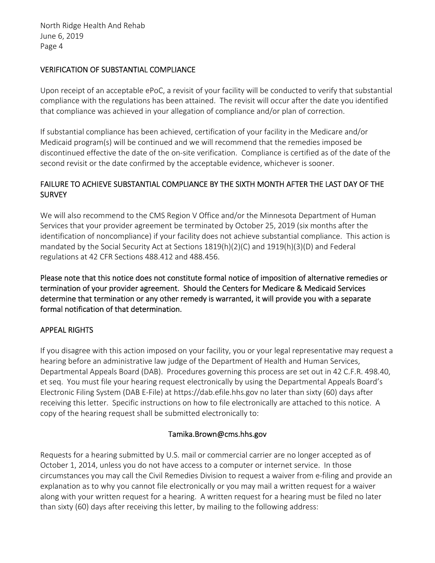#### VERIFICATION OF SUBSTANTIAL COMPLIANCE

Upon receipt of an acceptable ePoC, a revisit of your facility will be conducted to verify that substantial compliance with the regulations has been attained. The revisit will occur after the date you identified that compliance was achieved in your allegation of compliance and/or plan of correction.

If substantial compliance has been achieved, certification of your facility in the Medicare and/or Medicaid program(s) will be continued and we will recommend that the remedies imposed be discontinued effective the date of the on‐site verification. Compliance is certified as of the date of the second revisit or the date confirmed by the acceptable evidence, whichever is sooner.

# FAILURE TO ACHIEVE SUBSTANTIAL COMPLIANCE BY THE SIXTH MONTH AFTER THE LAST DAY OF THE **SURVEY**

We will also recommend to the CMS Region V Office and/or the Minnesota Department of Human Services that your provider agreement be terminated by October 25, 2019 (six months after the identification of noncompliance) if your facility does not achieve substantial compliance. This action is mandated by the Social Security Act at Sections 1819(h)(2)(C) and 1919(h)(3)(D) and Federal regulations at 42 CFR Sections 488.412 and 488.456.

Please note that this notice does not constitute formal notice of imposition of alternative remedies or termination of your provider agreement. Should the Centers for Medicare & Medicaid Services determine that termination or any other remedy is warranted, it will provide you with a separate formal notification of that determination.

### APPEAL RIGHTS

If you disagree with this action imposed on your facility, you or your legal representative may request a hearing before an administrative law judge of the Department of Health and Human Services, Departmental Appeals Board (DAB). Procedures governing this process are set out in 42 C.F.R. 498.40, et seq. You must file your hearing request electronically by using the Departmental Appeals Board's Electronic Filing System (DAB E‐File) at https://dab.efile.hhs.gov no later than sixty (60) days after receiving this letter. Specific instructions on how to file electronically are attached to this notice. A copy of the hearing request shall be submitted electronically to:

### Tamika.Brown@cms.hhs.gov

Requests for a hearing submitted by U.S. mail or commercial carrier are no longer accepted as of October 1, 2014, unless you do not have access to a computer or internet service. In those circumstances you may call the Civil Remedies Division to request a waiver from e‐filing and provide an explanation as to why you cannot file electronically or you may mail a written request for a waiver along with your written request for a hearing. A written request for a hearing must be filed no later than sixty (60) days after receiving this letter, by mailing to the following address: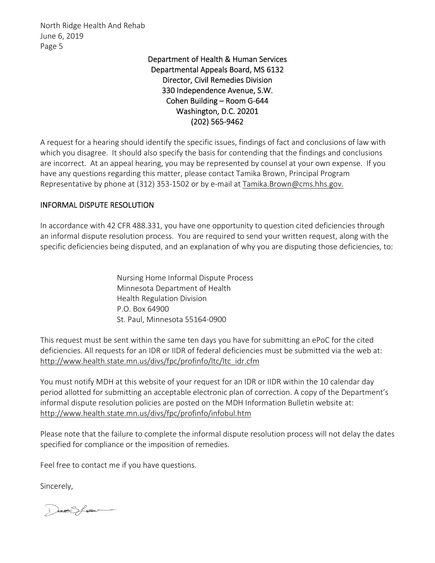# Department of Health & Human Services Departmental Appeals Board, MS 6132 Director, Civil Remedies Division 330 Independence Avenue, S.W. Cohen Building – Room G‐644 Washington, D.C. 20201 (202) 565‐9462

A request for a hearing should identify the specific issues, findings of fact and conclusions of law with which you disagree. It should also specify the basis for contending that the findings and conclusions are incorrect. At an appeal hearing, you may be represented by counsel at your own expense. If you have any questions regarding this matter, please contact Tamika Brown, Principal Program Representative by phone at (312) 353-1502 or by e-mail at Tamika.Brown@cms.hhs.gov.

### INFORMAL DISPUTE RESOLUTION

In accordance with 42 CFR 488.331, you have one opportunity to question cited deficiencies through an informal dispute resolution process. You are required to send your written request, along with the specific deficiencies being disputed, and an explanation of why you are disputing those deficiencies, to:

> Nursing Home Informal Dispute Process Minnesota Department of Health Health Regulation Division P.O. Box 64900 St. Paul, Minnesota 55164‐0900

This request must be sent within the same ten days you have for submitting an ePoC for the cited deficiencies. All requests for an IDR or IIDR of federal deficiencies must be submitted via the web at: http://www.health.state.mn.us/divs/fpc/profinfo/ltc/ltc\_idr.cfm

You must notify MDH at this website of your request for an IDR or IIDR within the 10 calendar day period allotted for submitting an acceptable electronic plan of correction. A copy of the Department's informal dispute resolution policies are posted on the MDH Information Bulletin website at: http://www.health.state.mn.us/divs/fpc/profinfo/infobul.htm

Please note that the failure to complete the informal dispute resolution process will not delay the dates specified for compliance or the imposition of remedies.

Feel free to contact me if you have questions.

Sincerely,

DANNE Steen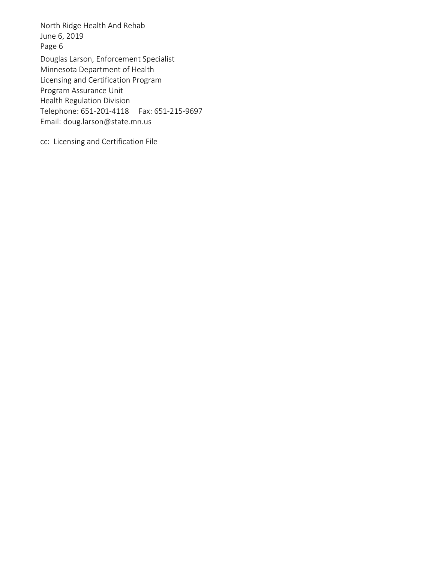Douglas Larson, Enforcement Specialist Minnesota Department of Health Licensing and Certification Program Program Assurance Unit Health Regulation Division Telephone: 651‐201‐4118 Fax: 651‐215‐9697 Email: doug.larson@state.mn.us North Ridge Health And Rehab June 6, 2019 Page 6

cc: Licensing and Certification File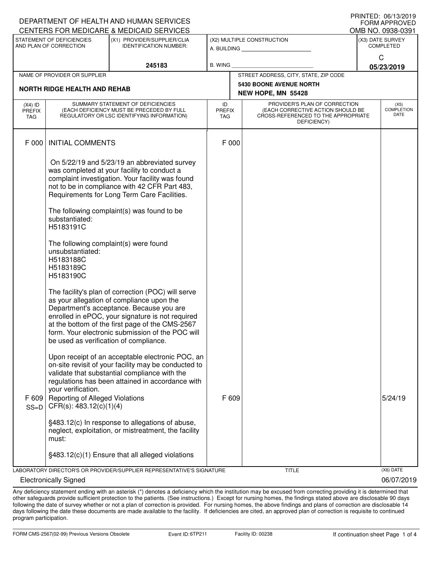| DEPARTMENT OF HEALTH AND HUMAN SERVICES<br><b>FORM APPROVED</b> |                                                                                                                     |                                                                                                                                                                                                                                                                                                        |                            |                            |                                                                                                                          |  |                                          |  |
|-----------------------------------------------------------------|---------------------------------------------------------------------------------------------------------------------|--------------------------------------------------------------------------------------------------------------------------------------------------------------------------------------------------------------------------------------------------------------------------------------------------------|----------------------------|----------------------------|--------------------------------------------------------------------------------------------------------------------------|--|------------------------------------------|--|
| CENTERS FOR MEDICARE & MEDICAID SERVICES                        |                                                                                                                     |                                                                                                                                                                                                                                                                                                        |                            |                            |                                                                                                                          |  | OMB NO. 0938-0391                        |  |
|                                                                 | STATEMENT OF DEFICIENCIES<br>(X1) PROVIDER/SUPPLIER/CLIA<br>AND PLAN OF CORRECTION<br><b>IDENTIFICATION NUMBER:</b> |                                                                                                                                                                                                                                                                                                        |                            | (X2) MULTIPLE CONSTRUCTION |                                                                                                                          |  | (X3) DATE SURVEY<br><b>COMPLETED</b>     |  |
|                                                                 |                                                                                                                     | 245183                                                                                                                                                                                                                                                                                                 | B. WING                    |                            |                                                                                                                          |  | $\mathsf{C}$<br>05/23/2019               |  |
|                                                                 | NAME OF PROVIDER OR SUPPLIER                                                                                        |                                                                                                                                                                                                                                                                                                        |                            |                            | STREET ADDRESS, CITY, STATE, ZIP CODE                                                                                    |  |                                          |  |
|                                                                 | <b>NORTH RIDGE HEALTH AND REHAB</b>                                                                                 |                                                                                                                                                                                                                                                                                                        |                            |                            | <b>5430 BOONE AVENUE NORTH</b><br>NEW HOPE, MN 55428                                                                     |  |                                          |  |
| $(X4)$ ID<br>PREFIX<br>TAG                                      |                                                                                                                     | SUMMARY STATEMENT OF DEFICIENCIES<br>(EACH DEFICIENCY MUST BE PRECEDED BY FULL<br>REGULATORY OR LSC IDENTIFYING INFORMATION)                                                                                                                                                                           | ID<br><b>PREFIX</b><br>TAG |                            | PROVIDER'S PLAN OF CORRECTION<br>(EACH CORRECTIVE ACTION SHOULD BE<br>CROSS-REFERENCED TO THE APPROPRIATE<br>DEFICIENCY) |  | (X5)<br><b>COMPLETION</b><br><b>DATE</b> |  |
| F 000                                                           | <b>INITIAL COMMENTS</b>                                                                                             |                                                                                                                                                                                                                                                                                                        | F 000                      |                            |                                                                                                                          |  |                                          |  |
|                                                                 |                                                                                                                     | On 5/22/19 and 5/23/19 an abbreviated survey<br>was completed at your facility to conduct a<br>complaint investigation. Your facility was found<br>not to be in compliance with 42 CFR Part 483,<br>Requirements for Long Term Care Facilities.                                                        |                            |                            |                                                                                                                          |  |                                          |  |
|                                                                 | substantiated:<br>H5183191C                                                                                         | The following complaint(s) was found to be                                                                                                                                                                                                                                                             |                            |                            |                                                                                                                          |  |                                          |  |
|                                                                 | The following complaint(s) were found<br>unsubstantiated:<br>H5183188C<br>H5183189C<br>H5183190C                    |                                                                                                                                                                                                                                                                                                        |                            |                            |                                                                                                                          |  |                                          |  |
|                                                                 | be used as verification of compliance.                                                                              | The facility's plan of correction (POC) will serve<br>as your allegation of compliance upon the<br>Department's acceptance. Because you are<br>enrolled in ePOC, your signature is not required<br>at the bottom of the first page of the CMS-2567<br>form. Your electronic submission of the POC will |                            |                            |                                                                                                                          |  |                                          |  |
| F 609<br>$SS=D$                                                 | your verification.<br><b>Reporting of Alleged Violations</b><br>CFR(s): 483.12(c)(1)(4)                             | Upon receipt of an acceptable electronic POC, an<br>on-site revisit of your facility may be conducted to<br>validate that substantial compliance with the<br>regulations has been attained in accordance with                                                                                          | F 609                      |                            |                                                                                                                          |  | 5/24/19                                  |  |
|                                                                 | must:                                                                                                               | §483.12(c) In response to allegations of abuse,<br>neglect, exploitation, or mistreatment, the facility                                                                                                                                                                                                |                            |                            |                                                                                                                          |  |                                          |  |
|                                                                 |                                                                                                                     | §483.12(c)(1) Ensure that all alleged violations                                                                                                                                                                                                                                                       |                            |                            |                                                                                                                          |  |                                          |  |
|                                                                 |                                                                                                                     | LABORATORY DIRECTOR'S OR PROVIDER/SUPPLIER REPRESENTATIVE'S SIGNATURE                                                                                                                                                                                                                                  |                            |                            | <b>TITLE</b>                                                                                                             |  | (X6) DATE                                |  |
|                                                                 | <b>Electronically Signed</b>                                                                                        |                                                                                                                                                                                                                                                                                                        |                            |                            |                                                                                                                          |  | 06/07/2019                               |  |

Any deficiency statement ending with an asterisk (\*) denotes a deficiency which the institution may be excused from correcting providing it is determined that other safeguards provide sufficient protection to the patients. (See instructions.) Except for nursing homes, the findings stated above are disclosable 90 days following the date of survey whether or not a plan of correction is provided. For nursing homes, the above findings and plans of correction are disclosable 14 days following the date these documents are made available to the facility. If deficiencies are cited, an approved plan of correction is requisite to continued program participation.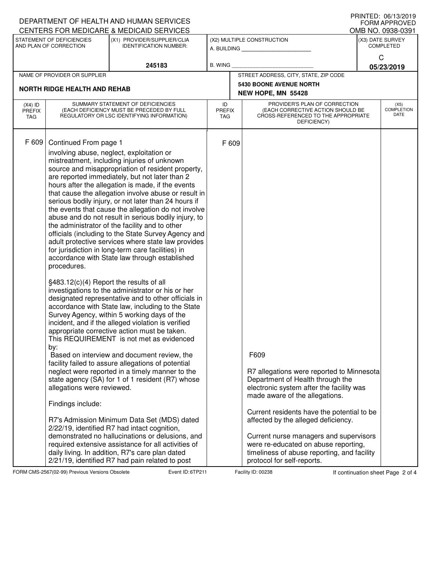|                                   |                                                                                                                                           | DEPARTMENT OF HEALTH AND HUMAN SERVICES<br>CENTERS FOR MEDICARE & MEDICAID SERVICES                                                                                                                                                                                                                                                                                                                                                                                                                                                                                                                                                                                                                                                                                                                                                                                                                                                                                                                                                                                                                                                                                                                                                                                                                                                                                                                                                                                                                                                                                                                                                                    |                            |                                                                                                                                                                                                                                                                                                                                                                                                                         |                                      | <b>FRINIED. 00/13/4019</b><br><b>FORM APPROVED</b><br>OMB NO. 0938-0391 |
|-----------------------------------|-------------------------------------------------------------------------------------------------------------------------------------------|--------------------------------------------------------------------------------------------------------------------------------------------------------------------------------------------------------------------------------------------------------------------------------------------------------------------------------------------------------------------------------------------------------------------------------------------------------------------------------------------------------------------------------------------------------------------------------------------------------------------------------------------------------------------------------------------------------------------------------------------------------------------------------------------------------------------------------------------------------------------------------------------------------------------------------------------------------------------------------------------------------------------------------------------------------------------------------------------------------------------------------------------------------------------------------------------------------------------------------------------------------------------------------------------------------------------------------------------------------------------------------------------------------------------------------------------------------------------------------------------------------------------------------------------------------------------------------------------------------------------------------------------------------|----------------------------|-------------------------------------------------------------------------------------------------------------------------------------------------------------------------------------------------------------------------------------------------------------------------------------------------------------------------------------------------------------------------------------------------------------------------|--------------------------------------|-------------------------------------------------------------------------|
|                                   | STATEMENT OF DEFICIENCIES<br>AND PLAN OF CORRECTION                                                                                       | (X1) PROVIDER/SUPPLIER/CLIA<br><b>IDENTIFICATION NUMBER:</b>                                                                                                                                                                                                                                                                                                                                                                                                                                                                                                                                                                                                                                                                                                                                                                                                                                                                                                                                                                                                                                                                                                                                                                                                                                                                                                                                                                                                                                                                                                                                                                                           |                            | (X2) MULTIPLE CONSTRUCTION<br>A. BUILDING                                                                                                                                                                                                                                                                                                                                                                               | (X3) DATE SURVEY<br><b>COMPLETED</b> |                                                                         |
|                                   |                                                                                                                                           | 245183                                                                                                                                                                                                                                                                                                                                                                                                                                                                                                                                                                                                                                                                                                                                                                                                                                                                                                                                                                                                                                                                                                                                                                                                                                                                                                                                                                                                                                                                                                                                                                                                                                                 | <b>B. WING</b>             |                                                                                                                                                                                                                                                                                                                                                                                                                         | C                                    | 05/23/2019                                                              |
|                                   | NAME OF PROVIDER OR SUPPLIER                                                                                                              |                                                                                                                                                                                                                                                                                                                                                                                                                                                                                                                                                                                                                                                                                                                                                                                                                                                                                                                                                                                                                                                                                                                                                                                                                                                                                                                                                                                                                                                                                                                                                                                                                                                        |                            | STREET ADDRESS, CITY, STATE, ZIP CODE                                                                                                                                                                                                                                                                                                                                                                                   |                                      |                                                                         |
|                                   | <b>NORTH RIDGE HEALTH AND REHAB</b>                                                                                                       |                                                                                                                                                                                                                                                                                                                                                                                                                                                                                                                                                                                                                                                                                                                                                                                                                                                                                                                                                                                                                                                                                                                                                                                                                                                                                                                                                                                                                                                                                                                                                                                                                                                        |                            | <b>5430 BOONE AVENUE NORTH</b><br>NEW HOPE, MN 55428                                                                                                                                                                                                                                                                                                                                                                    |                                      |                                                                         |
| $(X4)$ ID<br><b>PREFIX</b><br>TAG |                                                                                                                                           | SUMMARY STATEMENT OF DEFICIENCIES<br>(EACH DEFICIENCY MUST BE PRECEDED BY FULL<br>REGULATORY OR LSC IDENTIFYING INFORMATION)                                                                                                                                                                                                                                                                                                                                                                                                                                                                                                                                                                                                                                                                                                                                                                                                                                                                                                                                                                                                                                                                                                                                                                                                                                                                                                                                                                                                                                                                                                                           | ID<br><b>PREFIX</b><br>TAG | PROVIDER'S PLAN OF CORRECTION<br>(EACH CORRECTIVE ACTION SHOULD BE<br>CROSS-REFERENCED TO THE APPROPRIATE<br>DEFICIENCY)                                                                                                                                                                                                                                                                                                |                                      | (X5)<br><b>COMPLETION</b><br>DATE                                       |
| F 609                             | Continued From page 1<br>procedures.<br>§483.12(c)(4) Report the results of all<br>by:<br>allegations were reviewed.<br>Findings include: | involving abuse, neglect, exploitation or<br>mistreatment, including injuries of unknown<br>source and misappropriation of resident property,<br>are reported immediately, but not later than 2<br>hours after the allegation is made, if the events<br>that cause the allegation involve abuse or result in<br>serious bodily injury, or not later than 24 hours if<br>the events that cause the allegation do not involve<br>abuse and do not result in serious bodily injury, to<br>the administrator of the facility and to other<br>officials (including to the State Survey Agency and<br>adult protective services where state law provides<br>for jurisdiction in long-term care facilities) in<br>accordance with State law through established<br>investigations to the administrator or his or her<br>designated representative and to other officials in<br>accordance with State law, including to the State<br>Survey Agency, within 5 working days of the<br>incident, and if the alleged violation is verified<br>appropriate corrective action must be taken.<br>This REQUIREMENT is not met as evidenced<br>Based on interview and document review, the<br>facility failed to assure allegations of potential<br>neglect were reported in a timely manner to the<br>state agency (SA) for 1 of 1 resident (R7) whose<br>R7's Admission Minimum Data Set (MDS) dated<br>2/22/19, identified R7 had intact cognition,<br>demonstrated no hallucinations or delusions, and<br>required extensive assistance for all activities of<br>daily living. In addition, R7's care plan dated<br>2/21/19, identified R7 had pain related to post | F 609                      | F609<br>R7 allegations were reported to Minnesota<br>Department of Health through the<br>electronic system after the facility was<br>made aware of the allegations.<br>Current residents have the potential to be<br>affected by the alleged deficiency.<br>Current nurse managers and supervisors<br>were re-educated on abuse reporting,<br>timeliness of abuse reporting, and facility<br>protocol for self-reports. |                                      |                                                                         |

FORM CMS-2567(02-99) Previous Versions Obsolete **6The Event ID: 6TP211** Facility ID: 00238 If continuation sheet Page 2 of 4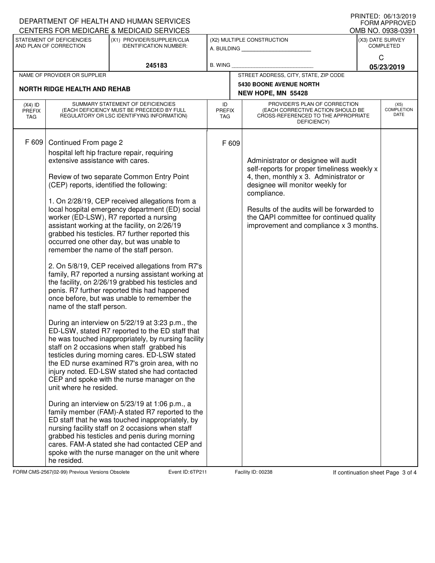|                                                         |                                                                                                                                                              | DEPARTMENT OF HEALTH AND HUMAN SERVICES<br>CENTERS FOR MEDICARE & MEDICAID SERVICES                                                                                                                                                                                                                                                                                                                                                                                                                                                                                                                                                                                                                                                                                                                                                                                                                                                                                                                                                                                                                                                                                                                                                                                                                                                                                               |                                   |  |                                                                                                                                                                                                                                                                                                                      |  | ט ו ∪∟∨י טער אי דוווווי<br><b>FORM APPROVED</b> |
|---------------------------------------------------------|--------------------------------------------------------------------------------------------------------------------------------------------------------------|-----------------------------------------------------------------------------------------------------------------------------------------------------------------------------------------------------------------------------------------------------------------------------------------------------------------------------------------------------------------------------------------------------------------------------------------------------------------------------------------------------------------------------------------------------------------------------------------------------------------------------------------------------------------------------------------------------------------------------------------------------------------------------------------------------------------------------------------------------------------------------------------------------------------------------------------------------------------------------------------------------------------------------------------------------------------------------------------------------------------------------------------------------------------------------------------------------------------------------------------------------------------------------------------------------------------------------------------------------------------------------------|-----------------------------------|--|----------------------------------------------------------------------------------------------------------------------------------------------------------------------------------------------------------------------------------------------------------------------------------------------------------------------|--|-------------------------------------------------|
|                                                         | STATEMENT OF DEFICIENCIES                                                                                                                                    | (X1) PROVIDER/SUPPLIER/CLIA                                                                                                                                                                                                                                                                                                                                                                                                                                                                                                                                                                                                                                                                                                                                                                                                                                                                                                                                                                                                                                                                                                                                                                                                                                                                                                                                                       |                                   |  | (X2) MULTIPLE CONSTRUCTION                                                                                                                                                                                                                                                                                           |  | OMB NO. 0938-0391<br>(X3) DATE SURVEY           |
| AND PLAN OF CORRECTION<br><b>IDENTIFICATION NUMBER:</b> |                                                                                                                                                              | A. BUILDING                                                                                                                                                                                                                                                                                                                                                                                                                                                                                                                                                                                                                                                                                                                                                                                                                                                                                                                                                                                                                                                                                                                                                                                                                                                                                                                                                                       |                                   |  | <b>COMPLETED</b>                                                                                                                                                                                                                                                                                                     |  |                                                 |
|                                                         |                                                                                                                                                              |                                                                                                                                                                                                                                                                                                                                                                                                                                                                                                                                                                                                                                                                                                                                                                                                                                                                                                                                                                                                                                                                                                                                                                                                                                                                                                                                                                                   | <b>B. WING</b>                    |  |                                                                                                                                                                                                                                                                                                                      |  | C                                               |
|                                                         | NAME OF PROVIDER OR SUPPLIER                                                                                                                                 | 245183                                                                                                                                                                                                                                                                                                                                                                                                                                                                                                                                                                                                                                                                                                                                                                                                                                                                                                                                                                                                                                                                                                                                                                                                                                                                                                                                                                            |                                   |  | STREET ADDRESS, CITY, STATE, ZIP CODE                                                                                                                                                                                                                                                                                |  | 05/23/2019                                      |
|                                                         |                                                                                                                                                              |                                                                                                                                                                                                                                                                                                                                                                                                                                                                                                                                                                                                                                                                                                                                                                                                                                                                                                                                                                                                                                                                                                                                                                                                                                                                                                                                                                                   |                                   |  | <b>5430 BOONE AVENUE NORTH</b>                                                                                                                                                                                                                                                                                       |  |                                                 |
|                                                         | <b>NORTH RIDGE HEALTH AND REHAB</b>                                                                                                                          |                                                                                                                                                                                                                                                                                                                                                                                                                                                                                                                                                                                                                                                                                                                                                                                                                                                                                                                                                                                                                                                                                                                                                                                                                                                                                                                                                                                   |                                   |  | NEW HOPE, MN 55428                                                                                                                                                                                                                                                                                                   |  |                                                 |
| $(X4)$ ID<br><b>PREFIX</b><br>TAG                       | SUMMARY STATEMENT OF DEFICIENCIES<br>(EACH DEFICIENCY MUST BE PRECEDED BY FULL<br>REGULATORY OR LSC IDENTIFYING INFORMATION)                                 |                                                                                                                                                                                                                                                                                                                                                                                                                                                                                                                                                                                                                                                                                                                                                                                                                                                                                                                                                                                                                                                                                                                                                                                                                                                                                                                                                                                   | ID<br><b>PREFIX</b><br><b>TAG</b> |  | PROVIDER'S PLAN OF CORRECTION<br><b>COMPLETION</b><br>(EACH CORRECTIVE ACTION SHOULD BE<br>CROSS-REFERENCED TO THE APPROPRIATE<br>DEFICIENCY)                                                                                                                                                                        |  |                                                 |
| F 609                                                   | Continued From page 2<br>extensive assistance with cares.<br>(CEP) reports, identified the following:<br>name of the staff person.<br>unit where he resided. | hospital left hip fracture repair, requiring<br>Review of two separate Common Entry Point<br>1. On 2/28/19, CEP received allegations from a<br>local hospital emergency department (ED) social<br>worker (ED-LSW), R7 reported a nursing<br>assistant working at the facility, on 2/26/19<br>grabbed his testicles. R7 further reported this<br>occurred one other day, but was unable to<br>remember the name of the staff person.<br>2. On 5/8/19, CEP received allegations from R7's<br>family, R7 reported a nursing assistant working at<br>the facility, on 2/26/19 grabbed his testicles and<br>penis. R7 further reported this had happened<br>once before, but was unable to remember the<br>During an interview on 5/22/19 at 3:23 p.m., the<br>ED-LSW, stated R7 reported to the ED staff that<br>he was touched inappropriately, by nursing facility<br>staff on 2 occasions when staff grabbed his<br>testicles during morning cares. ED-LSW stated<br>the ED nurse examined R7's groin area, with no<br>injury noted. ED-LSW stated she had contacted<br>CEP and spoke with the nurse manager on the<br>During an interview on 5/23/19 at 1:06 p.m., a<br>family member (FAM)-A stated R7 reported to the<br>ED staff that he was touched inappropriately, by<br>nursing facility staff on 2 occasions when staff<br>grabbed his testicles and penis during morning | F 609                             |  | Administrator or designee will audit<br>self-reports for proper timeliness weekly x<br>4, then, monthly x 3. Administrator or<br>designee will monitor weekly for<br>compliance.<br>Results of the audits will be forwarded to<br>the QAPI committee for continued quality<br>improvement and compliance x 3 months. |  |                                                 |
|                                                         | he resided.                                                                                                                                                  | cares. FAM-A stated she had contacted CEP and<br>spoke with the nurse manager on the unit where                                                                                                                                                                                                                                                                                                                                                                                                                                                                                                                                                                                                                                                                                                                                                                                                                                                                                                                                                                                                                                                                                                                                                                                                                                                                                   |                                   |  |                                                                                                                                                                                                                                                                                                                      |  |                                                 |

FORM CMS-2567(02-99) Previous Versions Obsolete **6The Full Event ID: 6TP211** Facility ID: 00238 If continuation sheet Page 3 of 4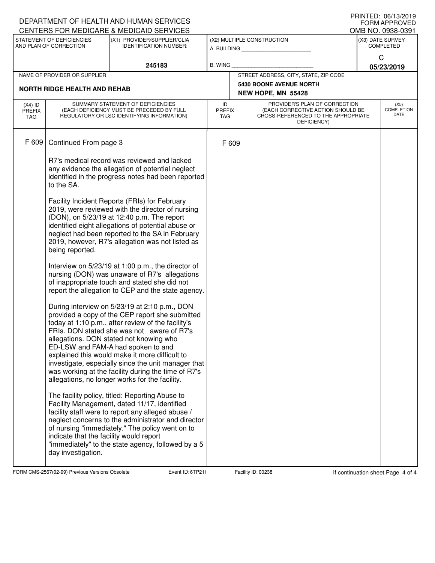|                                   |                                                                                                                                                                     | DEPARTMENT OF HEALTH AND HUMAN SERVICES<br>CENTERS FOR MEDICARE & MEDICAID SERVICES                                                                                                                                                                                                                                                                                                                                                                                                                     |                            |                                           |                                                                                                                          |                                   | FRIIVIEU. VOI IJZUIJ<br><b>FORM APPROVED</b><br>OMB NO. 0938-0391 |
|-----------------------------------|---------------------------------------------------------------------------------------------------------------------------------------------------------------------|---------------------------------------------------------------------------------------------------------------------------------------------------------------------------------------------------------------------------------------------------------------------------------------------------------------------------------------------------------------------------------------------------------------------------------------------------------------------------------------------------------|----------------------------|-------------------------------------------|--------------------------------------------------------------------------------------------------------------------------|-----------------------------------|-------------------------------------------------------------------|
|                                   | STATEMENT OF DEFICIENCIES<br>AND PLAN OF CORRECTION                                                                                                                 | (X1) PROVIDER/SUPPLIER/CLIA<br><b>IDENTIFICATION NUMBER:</b>                                                                                                                                                                                                                                                                                                                                                                                                                                            |                            | (X2) MULTIPLE CONSTRUCTION<br>A. BUILDING |                                                                                                                          |                                   | (X3) DATE SURVEY<br><b>COMPLETED</b>                              |
|                                   |                                                                                                                                                                     | 245183                                                                                                                                                                                                                                                                                                                                                                                                                                                                                                  | <b>B. WING</b>             |                                           |                                                                                                                          |                                   | C<br>05/23/2019                                                   |
|                                   | NAME OF PROVIDER OR SUPPLIER                                                                                                                                        |                                                                                                                                                                                                                                                                                                                                                                                                                                                                                                         |                            |                                           | STREET ADDRESS, CITY, STATE, ZIP CODE                                                                                    |                                   |                                                                   |
|                                   | <b>NORTH RIDGE HEALTH AND REHAB</b>                                                                                                                                 |                                                                                                                                                                                                                                                                                                                                                                                                                                                                                                         |                            |                                           | <b>5430 BOONE AVENUE NORTH</b><br>NEW HOPE, MN 55428                                                                     |                                   |                                                                   |
| $(X4)$ ID<br><b>PREFIX</b><br>TAG | SUMMARY STATEMENT OF DEFICIENCIES<br>(EACH DEFICIENCY MUST BE PRECEDED BY FULL<br>REGULATORY OR LSC IDENTIFYING INFORMATION)                                        |                                                                                                                                                                                                                                                                                                                                                                                                                                                                                                         | ID<br><b>PREFIX</b><br>TAG |                                           | PROVIDER'S PLAN OF CORRECTION<br>(EACH CORRECTIVE ACTION SHOULD BE<br>CROSS-REFERENCED TO THE APPROPRIATE<br>DEFICIENCY) | (X5)<br><b>COMPLETION</b><br>DATE |                                                                   |
| F 609                             | Continued From page 3                                                                                                                                               |                                                                                                                                                                                                                                                                                                                                                                                                                                                                                                         | F 609                      |                                           |                                                                                                                          |                                   |                                                                   |
|                                   | R7's medical record was reviewed and lacked<br>any evidence the allegation of potential neglect<br>identified in the progress notes had been reported<br>to the SA. |                                                                                                                                                                                                                                                                                                                                                                                                                                                                                                         |                            |                                           |                                                                                                                          |                                   |                                                                   |
|                                   | being reported.                                                                                                                                                     | Facility Incident Reports (FRIs) for February<br>2019, were reviewed with the director of nursing<br>(DON), on 5/23/19 at 12:40 p.m. The report<br>identified eight allegations of potential abuse or<br>neglect had been reported to the SA in February<br>2019, however, R7's allegation was not listed as                                                                                                                                                                                            |                            |                                           |                                                                                                                          |                                   |                                                                   |
|                                   |                                                                                                                                                                     | Interview on 5/23/19 at 1:00 p.m., the director of<br>nursing (DON) was unaware of R7's allegations<br>of inappropriate touch and stated she did not<br>report the allegation to CEP and the state agency.                                                                                                                                                                                                                                                                                              |                            |                                           |                                                                                                                          |                                   |                                                                   |
|                                   |                                                                                                                                                                     | During interview on 5/23/19 at 2:10 p.m., DON<br>provided a copy of the CEP report she submitted<br>today at 1:10 p.m., after review of the facility's<br>FRIs. DON stated she was not aware of R7's<br>allegations. DON stated not knowing who<br>ED-LSW and FAM-A had spoken to and<br>explained this would make it more difficult to<br>investigate, especially since the unit manager that<br>was working at the facility during the time of R7's<br>allegations, no longer works for the facility. |                            |                                           |                                                                                                                          |                                   |                                                                   |
|                                   | indicate that the facility would report<br>day investigation.                                                                                                       | The facility policy, titled: Reporting Abuse to<br>Facility Management, dated 11/17, identified<br>facility staff were to report any alleged abuse /<br>neglect concerns to the administrator and director<br>of nursing "immediately." The policy went on to<br>"immediately" to the state agency, followed by a 5                                                                                                                                                                                     |                            |                                           |                                                                                                                          |                                   |                                                                   |

FORM CMS-2567(02-99) Previous Versions Obsolete **6The Full Event ID: 6TP211** Facility ID: 00238 If continuation sheet Page 4 of 4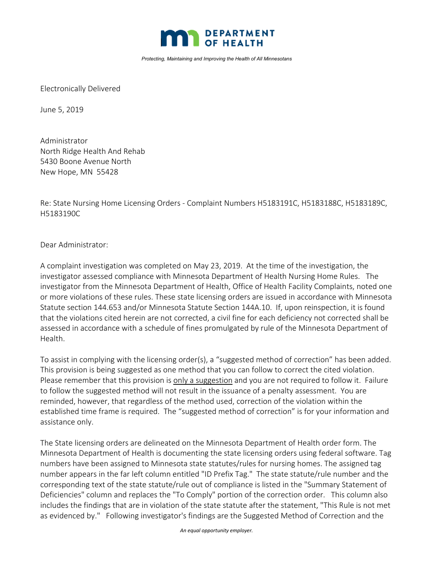

*Protecting, Maintaining and Improving the Health of All Minnesotans*

Electronically Delivered

June 5, 2019

Administrator North Ridge Health And Rehab 5430 Boone Avenue North New Hope, MN 55428

Re: State Nursing Home Licensing Orders ‐ Complaint Numbers H5183191C, H5183188C, H5183189C, H5183190C

Dear Administrator:

A complaint investigation was completed on May 23, 2019. At the time of the investigation, the investigator assessed compliance with Minnesota Department of Health Nursing Home Rules. The investigator from the Minnesota Department of Health, Office of Health Facility Complaints, noted one or more violations of these rules. These state licensing orders are issued in accordance with Minnesota Statute section 144.653 and/or Minnesota Statute Section 144A.10. If, upon reinspection, it is found that the violations cited herein are not corrected, a civil fine for each deficiency not corrected shall be assessed in accordance with a schedule of fines promulgated by rule of the Minnesota Department of Health.

To assist in complying with the licensing order(s), a "suggested method of correction" has been added. This provision is being suggested as one method that you can follow to correct the cited violation. Please remember that this provision is only a suggestion and you are not required to follow it. Failure to follow the suggested method will not result in the issuance of a penalty assessment. You are reminded, however, that regardless of the method used, correction of the violation within the established time frame is required. The "suggested method of correction" is for your information and assistance only.

The State licensing orders are delineated on the Minnesota Department of Health order form. The Minnesota Department of Health is documenting the state licensing orders using federal software. Tag numbers have been assigned to Minnesota state statutes/rules for nursing homes. The assigned tag number appears in the far left column entitled "ID Prefix Tag." The state statute/rule number and the corresponding text of the state statute/rule out of compliance is listed in the "Summary Statement of Deficiencies" column and replaces the "To Comply" portion of the correction order. This column also includes the findings that are in violation of the state statute after the statement, "This Rule is not met as evidenced by." Following investigator's findings are the Suggested Method of Correction and the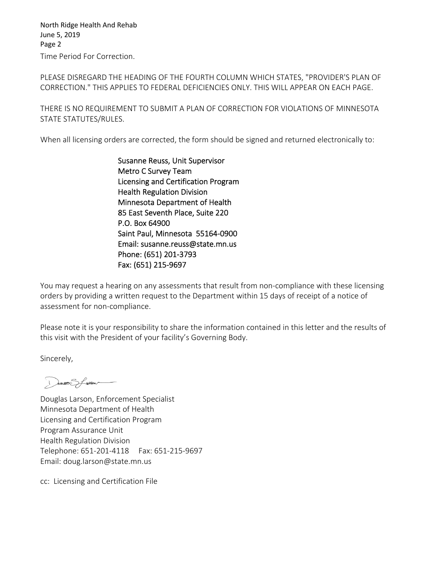Time Period For Correction. North Ridge Health And Rehab June 5, 2019 Page 2

PLEASE DISREGARD THE HEADING OF THE FOURTH COLUMN WHICH STATES, "PROVIDER'S PLAN OF CORRECTION." THIS APPLIES TO FEDERAL DEFICIENCIES ONLY. THIS WILL APPEAR ON EACH PAGE.

THERE IS NO REQUIREMENT TO SUBMIT A PLAN OF CORRECTION FOR VIOLATIONS OF MINNESOTA STATE STATUTES/RULES.

When all licensing orders are corrected, the form should be signed and returned electronically to:

Susanne Reuss, Unit Supervisor Metro C Survey Team Licensing and Certification Program Health Regulation Division Minnesota Department of Health 85 East Seventh Place, Suite 220 P.O. Box 64900 Saint Paul, Minnesota 55164‐0900 Email: susanne.reuss@state.mn.us Phone: (651) 201‐3793 Fax: (651) 215‐9697

You may request a hearing on any assessments that result from non‐compliance with these licensing orders by providing a written request to the Department within 15 days of receipt of a notice of assessment for non‐compliance.

Please note it is your responsibility to share the information contained in this letter and the results of this visit with the President of your facility's Governing Body.

Sincerely,

Dueves Sfreen

Douglas Larson, Enforcement Specialist Minnesota Department of Health Licensing and Certification Program Program Assurance Unit Health Regulation Division Telephone: 651‐201‐4118 Fax: 651‐215‐9697 Email: doug.larson@state.mn.us

cc: Licensing and Certification File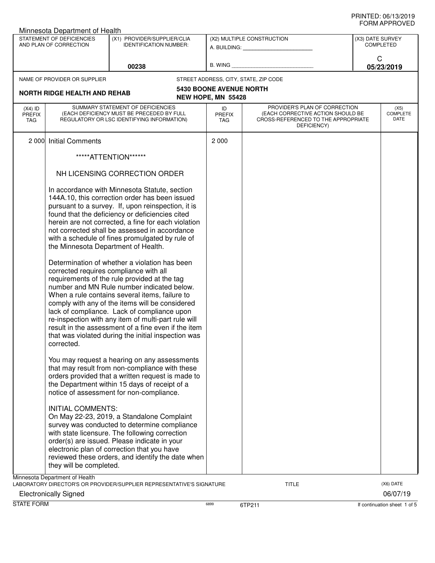| Minnesota Department of Health    |                                                                               |                                                                                                                                                                                                                                                                                                                                                                                                                                                                                                                                                                      |                                                      |                                                                                                                          |                  |                          |  |  |
|-----------------------------------|-------------------------------------------------------------------------------|----------------------------------------------------------------------------------------------------------------------------------------------------------------------------------------------------------------------------------------------------------------------------------------------------------------------------------------------------------------------------------------------------------------------------------------------------------------------------------------------------------------------------------------------------------------------|------------------------------------------------------|--------------------------------------------------------------------------------------------------------------------------|------------------|--------------------------|--|--|
|                                   | STATEMENT OF DEFICIENCIES<br>AND PLAN OF CORRECTION                           | (X1) PROVIDER/SUPPLIER/CLIA<br><b>IDENTIFICATION NUMBER:</b>                                                                                                                                                                                                                                                                                                                                                                                                                                                                                                         |                                                      | (X2) MULTIPLE CONSTRUCTION<br>A. BUILDING: A. BUILDING:                                                                  | (X3) DATE SURVEY | <b>COMPLETED</b>         |  |  |
|                                   |                                                                               | 00238                                                                                                                                                                                                                                                                                                                                                                                                                                                                                                                                                                | B. WING                                              |                                                                                                                          | C                | 05/23/2019               |  |  |
|                                   | NAME OF PROVIDER OR SUPPLIER                                                  |                                                                                                                                                                                                                                                                                                                                                                                                                                                                                                                                                                      |                                                      | STREET ADDRESS, CITY, STATE, ZIP CODE                                                                                    |                  |                          |  |  |
|                                   | <b>NORTH RIDGE HEALTH AND REHAB</b>                                           |                                                                                                                                                                                                                                                                                                                                                                                                                                                                                                                                                                      | <b>5430 BOONE AVENUE NORTH</b><br>NEW HOPE, MN 55428 |                                                                                                                          |                  |                          |  |  |
| $(X4)$ ID<br><b>PREFIX</b><br>TAG |                                                                               | SUMMARY STATEMENT OF DEFICIENCIES<br>(EACH DEFICIENCY MUST BE PRECEDED BY FULL<br>REGULATORY OR LSC IDENTIFYING INFORMATION)                                                                                                                                                                                                                                                                                                                                                                                                                                         | ID<br><b>PREFIX</b><br><b>TAG</b>                    | PROVIDER'S PLAN OF CORRECTION<br>(EACH CORRECTIVE ACTION SHOULD BE<br>CROSS-REFERENCED TO THE APPROPRIATE<br>DEFICIENCY) |                  | (X5)<br>COMPLETE<br>DATE |  |  |
| 2 0 0 0                           | <b>Initial Comments</b>                                                       |                                                                                                                                                                                                                                                                                                                                                                                                                                                                                                                                                                      | 2 0 0 0                                              |                                                                                                                          |                  |                          |  |  |
|                                   |                                                                               | *****ATTENTION*******                                                                                                                                                                                                                                                                                                                                                                                                                                                                                                                                                |                                                      |                                                                                                                          |                  |                          |  |  |
|                                   |                                                                               | NH LICENSING CORRECTION ORDER                                                                                                                                                                                                                                                                                                                                                                                                                                                                                                                                        |                                                      |                                                                                                                          |                  |                          |  |  |
|                                   | the Minnesota Department of Health.<br>corrected requires compliance with all | In accordance with Minnesota Statute, section<br>144A.10, this correction order has been issued<br>pursuant to a survey. If, upon reinspection, it is<br>found that the deficiency or deficiencies cited<br>herein are not corrected, a fine for each violation<br>not corrected shall be assessed in accordance<br>with a schedule of fines promulgated by rule of<br>Determination of whether a violation has been<br>requirements of the rule provided at the tag<br>number and MN Rule number indicated below.<br>When a rule contains several items, failure to |                                                      |                                                                                                                          |                  |                          |  |  |
|                                   | corrected.                                                                    | comply with any of the items will be considered<br>lack of compliance. Lack of compliance upon<br>re-inspection with any item of multi-part rule will<br>result in the assessment of a fine even if the item<br>that was violated during the initial inspection was                                                                                                                                                                                                                                                                                                  |                                                      |                                                                                                                          |                  |                          |  |  |
|                                   |                                                                               | You may request a hearing on any assessments<br>that may result from non-compliance with these<br>orders provided that a written request is made to<br>the Department within 15 days of receipt of a<br>notice of assessment for non-compliance.                                                                                                                                                                                                                                                                                                                     |                                                      |                                                                                                                          |                  |                          |  |  |
|                                   | <b>INITIAL COMMENTS:</b><br>they will be completed.                           | On May 22-23, 2019, a Standalone Complaint<br>survey was conducted to determine compliance<br>with state licensure. The following correction<br>order(s) are issued. Please indicate in your<br>electronic plan of correction that you have<br>reviewed these orders, and identify the date when                                                                                                                                                                                                                                                                     |                                                      |                                                                                                                          |                  |                          |  |  |
|                                   | Minnesota Department of Health<br><b>Electronically Signed</b>                | LABORATORY DIRECTOR'S OR PROVIDER/SUPPLIER REPRESENTATIVE'S SIGNATURE                                                                                                                                                                                                                                                                                                                                                                                                                                                                                                |                                                      | TITLE                                                                                                                    |                  | (X6) DATE<br>06/07/19    |  |  |

STATE FORM **6899** 6899 6TP211 **6899** 6TP211 **6899** 6TP211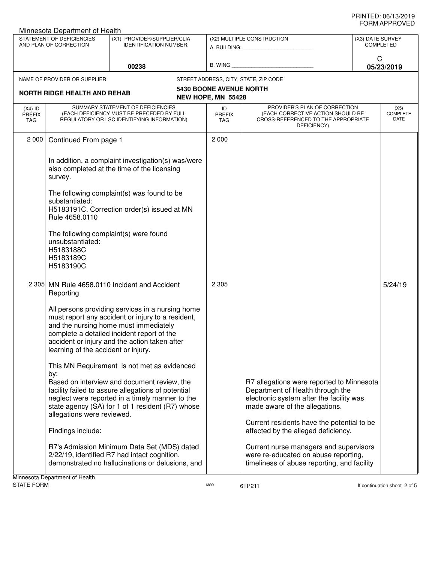|                                                     | Minnesota Department of Health                                                                                                |                                                                                                                                                                                                                                               |                                   |                                                                                                                                                             |                                      |                                 |
|-----------------------------------------------------|-------------------------------------------------------------------------------------------------------------------------------|-----------------------------------------------------------------------------------------------------------------------------------------------------------------------------------------------------------------------------------------------|-----------------------------------|-------------------------------------------------------------------------------------------------------------------------------------------------------------|--------------------------------------|---------------------------------|
| STATEMENT OF DEFICIENCIES<br>AND PLAN OF CORRECTION |                                                                                                                               | (X1) PROVIDER/SUPPLIER/CLIA<br><b>IDENTIFICATION NUMBER:</b>                                                                                                                                                                                  |                                   | (X2) MULTIPLE CONSTRUCTION<br>A. BUILDING: A. BUILDING:                                                                                                     | (X3) DATE SURVEY<br><b>COMPLETED</b> |                                 |
|                                                     |                                                                                                                               | 00238                                                                                                                                                                                                                                         | B. WING                           |                                                                                                                                                             | C                                    | 05/23/2019                      |
|                                                     | NAME OF PROVIDER OR SUPPLIER                                                                                                  |                                                                                                                                                                                                                                               |                                   | STREET ADDRESS, CITY, STATE, ZIP CODE                                                                                                                       |                                      |                                 |
|                                                     |                                                                                                                               |                                                                                                                                                                                                                                               | <b>5430 BOONE AVENUE NORTH</b>    |                                                                                                                                                             |                                      |                                 |
|                                                     | NORTH RIDGE HEALTH AND REHAB                                                                                                  |                                                                                                                                                                                                                                               | NEW HOPE, MN 55428                |                                                                                                                                                             |                                      |                                 |
| $(X4)$ ID<br><b>PREFIX</b><br><b>TAG</b>            |                                                                                                                               | SUMMARY STATEMENT OF DEFICIENCIES<br>(EACH DEFICIENCY MUST BE PRECEDED BY FULL<br>REGULATORY OR LSC IDENTIFYING INFORMATION)                                                                                                                  | ID<br><b>PREFIX</b><br><b>TAG</b> | PROVIDER'S PLAN OF CORRECTION<br>(EACH CORRECTIVE ACTION SHOULD BE<br>CROSS-REFERENCED TO THE APPROPRIATE<br>DEFICIENCY)                                    |                                      | (X5)<br><b>COMPLETE</b><br>DATE |
| 2 0 0 0                                             | Continued From page 1                                                                                                         |                                                                                                                                                                                                                                               | 2 0 0 0                           |                                                                                                                                                             |                                      |                                 |
|                                                     | survey.                                                                                                                       | In addition, a complaint investigation(s) was/were<br>also completed at the time of the licensing                                                                                                                                             |                                   |                                                                                                                                                             |                                      |                                 |
|                                                     | The following complaint(s) was found to be<br>substantiated:<br>H5183191C. Correction order(s) issued at MN<br>Rule 4658.0110 |                                                                                                                                                                                                                                               |                                   |                                                                                                                                                             |                                      |                                 |
|                                                     | The following complaint(s) were found<br>unsubstantiated:<br>H5183188C<br>H5183189C<br>H5183190C                              |                                                                                                                                                                                                                                               |                                   |                                                                                                                                                             |                                      |                                 |
| 2 3 0 5                                             | Reporting                                                                                                                     | MN Rule 4658.0110 Incident and Accident                                                                                                                                                                                                       | 2 3 0 5                           |                                                                                                                                                             |                                      | 5/24/19                         |
|                                                     | learning of the accident or injury.                                                                                           | All persons providing services in a nursing home<br>must report any accident or injury to a resident,<br>and the nursing home must immediately<br>complete a detailed incident report of the<br>accident or injury and the action taken after |                                   |                                                                                                                                                             |                                      |                                 |
|                                                     | by:                                                                                                                           | This MN Requirement is not met as evidenced                                                                                                                                                                                                   |                                   |                                                                                                                                                             |                                      |                                 |
|                                                     | allegations were reviewed.                                                                                                    | Based on interview and document review, the<br>facility failed to assure allegations of potential<br>neglect were reported in a timely manner to the<br>state agency (SA) for 1 of 1 resident (R7) whose                                      |                                   | R7 allegations were reported to Minnesota<br>Department of Health through the<br>electronic system after the facility was<br>made aware of the allegations. |                                      |                                 |
|                                                     | Findings include:                                                                                                             |                                                                                                                                                                                                                                               |                                   | Current residents have the potential to be<br>affected by the alleged deficiency.                                                                           |                                      |                                 |
|                                                     |                                                                                                                               | R7's Admission Minimum Data Set (MDS) dated<br>2/22/19, identified R7 had intact cognition,<br>demonstrated no hallucinations or delusions, and                                                                                               |                                   | Current nurse managers and supervisors<br>were re-educated on abuse reporting,<br>timeliness of abuse reporting, and facility                               |                                      |                                 |
| <b>STATE FORM</b>                                   | Minnesota Department of Health                                                                                                |                                                                                                                                                                                                                                               | 6899                              | 6TP211                                                                                                                                                      |                                      | If continuation sheet 2 of 5    |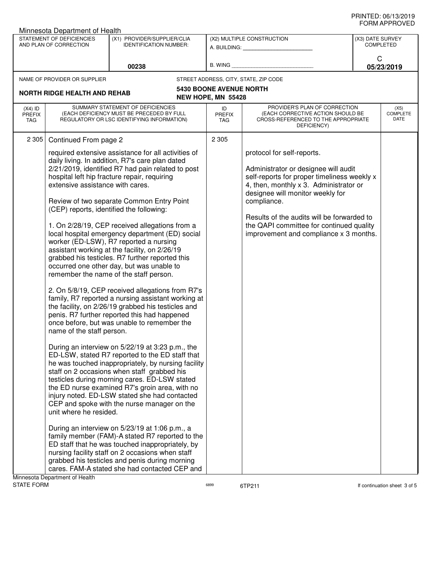| Minnesota Department of Health    |                                                                                                                                                                                                                                                                                                                                                                                                                                                                                                                                                                                                                                                                                                                                                                                                                                                                                                                                                                                                                                                                                                                                                                                                                                                                                                                                                                                                                                                                                                                                                                                                                                                          |                                                                                                                                                                                                                                                            |                                                      |                                                                                                                                                                                                                                                                                                                                                    |                                      |                                 |
|-----------------------------------|----------------------------------------------------------------------------------------------------------------------------------------------------------------------------------------------------------------------------------------------------------------------------------------------------------------------------------------------------------------------------------------------------------------------------------------------------------------------------------------------------------------------------------------------------------------------------------------------------------------------------------------------------------------------------------------------------------------------------------------------------------------------------------------------------------------------------------------------------------------------------------------------------------------------------------------------------------------------------------------------------------------------------------------------------------------------------------------------------------------------------------------------------------------------------------------------------------------------------------------------------------------------------------------------------------------------------------------------------------------------------------------------------------------------------------------------------------------------------------------------------------------------------------------------------------------------------------------------------------------------------------------------------------|------------------------------------------------------------------------------------------------------------------------------------------------------------------------------------------------------------------------------------------------------------|------------------------------------------------------|----------------------------------------------------------------------------------------------------------------------------------------------------------------------------------------------------------------------------------------------------------------------------------------------------------------------------------------------------|--------------------------------------|---------------------------------|
|                                   | STATEMENT OF DEFICIENCIES<br>AND PLAN OF CORRECTION                                                                                                                                                                                                                                                                                                                                                                                                                                                                                                                                                                                                                                                                                                                                                                                                                                                                                                                                                                                                                                                                                                                                                                                                                                                                                                                                                                                                                                                                                                                                                                                                      | (X1) PROVIDER/SUPPLIER/CLIA<br><b>IDENTIFICATION NUMBER:</b>                                                                                                                                                                                               |                                                      | (X2) MULTIPLE CONSTRUCTION<br>A. BUILDING: A. BUILDING:                                                                                                                                                                                                                                                                                            | (X3) DATE SURVEY<br><b>COMPLETED</b> |                                 |
|                                   |                                                                                                                                                                                                                                                                                                                                                                                                                                                                                                                                                                                                                                                                                                                                                                                                                                                                                                                                                                                                                                                                                                                                                                                                                                                                                                                                                                                                                                                                                                                                                                                                                                                          | 00238                                                                                                                                                                                                                                                      | <b>B. WING</b>                                       |                                                                                                                                                                                                                                                                                                                                                    | C                                    | 05/23/2019                      |
|                                   |                                                                                                                                                                                                                                                                                                                                                                                                                                                                                                                                                                                                                                                                                                                                                                                                                                                                                                                                                                                                                                                                                                                                                                                                                                                                                                                                                                                                                                                                                                                                                                                                                                                          |                                                                                                                                                                                                                                                            |                                                      | STREET ADDRESS, CITY, STATE, ZIP CODE                                                                                                                                                                                                                                                                                                              |                                      |                                 |
|                                   |                                                                                                                                                                                                                                                                                                                                                                                                                                                                                                                                                                                                                                                                                                                                                                                                                                                                                                                                                                                                                                                                                                                                                                                                                                                                                                                                                                                                                                                                                                                                                                                                                                                          |                                                                                                                                                                                                                                                            | <b>5430 BOONE AVENUE NORTH</b><br>NEW HOPE, MN 55428 |                                                                                                                                                                                                                                                                                                                                                    |                                      |                                 |
| $(X4)$ ID<br><b>PREFIX</b><br>TAG |                                                                                                                                                                                                                                                                                                                                                                                                                                                                                                                                                                                                                                                                                                                                                                                                                                                                                                                                                                                                                                                                                                                                                                                                                                                                                                                                                                                                                                                                                                                                                                                                                                                          |                                                                                                                                                                                                                                                            | ID<br><b>PREFIX</b><br><b>TAG</b>                    | PROVIDER'S PLAN OF CORRECTION<br>(EACH CORRECTIVE ACTION SHOULD BE<br>CROSS-REFERENCED TO THE APPROPRIATE<br>DEFICIENCY)                                                                                                                                                                                                                           |                                      | (X5)<br><b>COMPLETE</b><br>DATE |
| 2 3 0 5                           |                                                                                                                                                                                                                                                                                                                                                                                                                                                                                                                                                                                                                                                                                                                                                                                                                                                                                                                                                                                                                                                                                                                                                                                                                                                                                                                                                                                                                                                                                                                                                                                                                                                          |                                                                                                                                                                                                                                                            | 2 3 0 5                                              |                                                                                                                                                                                                                                                                                                                                                    |                                      |                                 |
|                                   | NAME OF PROVIDER OR SUPPLIER<br><b>NORTH RIDGE HEALTH AND REHAB</b><br>SUMMARY STATEMENT OF DEFICIENCIES<br>(EACH DEFICIENCY MUST BE PRECEDED BY FULL<br>REGULATORY OR LSC IDENTIFYING INFORMATION)<br>Continued From page 2<br>required extensive assistance for all activities of<br>daily living. In addition, R7's care plan dated<br>2/21/2019, identified R7 had pain related to post<br>hospital left hip fracture repair, requiring<br>extensive assistance with cares.<br>Review of two separate Common Entry Point<br>(CEP) reports, identified the following:<br>1. On 2/28/19, CEP received allegations from a<br>local hospital emergency department (ED) social<br>worker (ED-LSW), R7 reported a nursing<br>assistant working at the facility, on 2/26/19<br>grabbed his testicles. R7 further reported this<br>occurred one other day, but was unable to<br>remember the name of the staff person.<br>2. On 5/8/19, CEP received allegations from R7's<br>family, R7 reported a nursing assistant working at<br>the facility, on 2/26/19 grabbed his testicles and<br>penis. R7 further reported this had happened<br>once before, but was unable to remember the<br>name of the staff person.<br>During an interview on 5/22/19 at 3:23 p.m., the<br>ED-LSW, stated R7 reported to the ED staff that<br>he was touched inappropriately, by nursing facility<br>staff on 2 occasions when staff grabbed his<br>testicles during morning cares. ED-LSW stated<br>the ED nurse examined R7's groin area, with no<br>injury noted. ED-LSW stated she had contacted<br>CEP and spoke with the nurse manager on the<br>unit where he resided. |                                                                                                                                                                                                                                                            |                                                      | protocol for self-reports.<br>Administrator or designee will audit<br>self-reports for proper timeliness weekly x<br>4, then, monthly x 3. Administrator or<br>designee will monitor weekly for<br>compliance.<br>Results of the audits will be forwarded to<br>the QAPI committee for continued quality<br>improvement and compliance x 3 months. |                                      |                                 |
|                                   | Minnocota Donartmont of Hoalth                                                                                                                                                                                                                                                                                                                                                                                                                                                                                                                                                                                                                                                                                                                                                                                                                                                                                                                                                                                                                                                                                                                                                                                                                                                                                                                                                                                                                                                                                                                                                                                                                           | family member (FAM)-A stated R7 reported to the<br>ED staff that he was touched inappropriately, by<br>nursing facility staff on 2 occasions when staff<br>grabbed his testicles and penis during morning<br>cares. FAM-A stated she had contacted CEP and |                                                      |                                                                                                                                                                                                                                                                                                                                                    |                                      |                                 |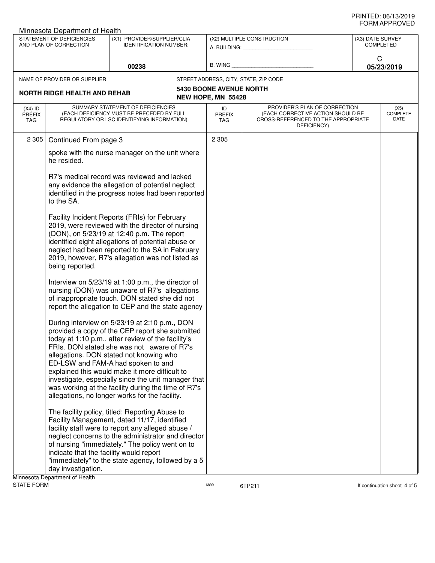|                                   | Minnesota Department of Health                                                                                                                                      |                                                                                                                                                                                                                                                                                                                                                                                                                                                                                                         |                                                      |                                                                                                                          |                                      |  |
|-----------------------------------|---------------------------------------------------------------------------------------------------------------------------------------------------------------------|---------------------------------------------------------------------------------------------------------------------------------------------------------------------------------------------------------------------------------------------------------------------------------------------------------------------------------------------------------------------------------------------------------------------------------------------------------------------------------------------------------|------------------------------------------------------|--------------------------------------------------------------------------------------------------------------------------|--------------------------------------|--|
|                                   | STATEMENT OF DEFICIENCIES<br>AND PLAN OF CORRECTION                                                                                                                 | (X1) PROVIDER/SUPPLIER/CLIA<br><b>IDENTIFICATION NUMBER:</b>                                                                                                                                                                                                                                                                                                                                                                                                                                            |                                                      | (X2) MULTIPLE CONSTRUCTION<br>A. BUILDING: A. BUILDING:                                                                  | (X3) DATE SURVEY<br><b>COMPLETED</b> |  |
|                                   | 00238                                                                                                                                                               |                                                                                                                                                                                                                                                                                                                                                                                                                                                                                                         | B. WING                                              |                                                                                                                          | C<br>05/23/2019                      |  |
|                                   | NAME OF PROVIDER OR SUPPLIER                                                                                                                                        |                                                                                                                                                                                                                                                                                                                                                                                                                                                                                                         |                                                      | STREET ADDRESS, CITY, STATE, ZIP CODE                                                                                    |                                      |  |
|                                   | <b>NORTH RIDGE HEALTH AND REHAB</b>                                                                                                                                 |                                                                                                                                                                                                                                                                                                                                                                                                                                                                                                         | <b>5430 BOONE AVENUE NORTH</b><br>NEW HOPE, MN 55428 |                                                                                                                          |                                      |  |
| $(X4)$ ID<br><b>PREFIX</b><br>TAG |                                                                                                                                                                     | SUMMARY STATEMENT OF DEFICIENCIES<br>(EACH DEFICIENCY MUST BE PRECEDED BY FULL<br>REGULATORY OR LSC IDENTIFYING INFORMATION)                                                                                                                                                                                                                                                                                                                                                                            | ID<br><b>PREFIX</b><br><b>TAG</b>                    | PROVIDER'S PLAN OF CORRECTION<br>(EACH CORRECTIVE ACTION SHOULD BE<br>CROSS-REFERENCED TO THE APPROPRIATE<br>DEFICIENCY) | (X5)<br><b>COMPLETE</b><br>DATE      |  |
| 2 3 0 5                           | Continued From page 3                                                                                                                                               |                                                                                                                                                                                                                                                                                                                                                                                                                                                                                                         | 2 3 0 5                                              |                                                                                                                          |                                      |  |
|                                   | he resided.                                                                                                                                                         | spoke with the nurse manager on the unit where                                                                                                                                                                                                                                                                                                                                                                                                                                                          |                                                      |                                                                                                                          |                                      |  |
|                                   | R7's medical record was reviewed and lacked<br>any evidence the allegation of potential neglect<br>identified in the progress notes had been reported<br>to the SA. |                                                                                                                                                                                                                                                                                                                                                                                                                                                                                                         |                                                      |                                                                                                                          |                                      |  |
|                                   | being reported.                                                                                                                                                     | Facility Incident Reports (FRIs) for February<br>2019, were reviewed with the director of nursing<br>(DON), on 5/23/19 at 12:40 p.m. The report<br>identified eight allegations of potential abuse or<br>neglect had been reported to the SA in February<br>2019, however, R7's allegation was not listed as                                                                                                                                                                                            |                                                      |                                                                                                                          |                                      |  |
|                                   |                                                                                                                                                                     | Interview on 5/23/19 at 1:00 p.m., the director of<br>nursing (DON) was unaware of R7's allegations<br>of inappropriate touch. DON stated she did not<br>report the allegation to CEP and the state agency                                                                                                                                                                                                                                                                                              |                                                      |                                                                                                                          |                                      |  |
|                                   |                                                                                                                                                                     | During interview on 5/23/19 at 2:10 p.m., DON<br>provided a copy of the CEP report she submitted<br>today at 1:10 p.m., after review of the facility's<br>FRIs. DON stated she was not aware of R7's<br>allegations. DON stated not knowing who<br>ED-LSW and FAM-A had spoken to and<br>explained this would make it more difficult to<br>investigate, especially since the unit manager that<br>was working at the facility during the time of R7's<br>allegations, no longer works for the facility. |                                                      |                                                                                                                          |                                      |  |
|                                   | indicate that the facility would report<br>day investigation.<br>Minnesota Denartment of Health                                                                     | The facility policy, titled: Reporting Abuse to<br>Facility Management, dated 11/17, identified<br>facility staff were to report any alleged abuse /<br>neglect concerns to the administrator and director<br>of nursing "immediately." The policy went on to<br>"immediately" to the state agency, followed by a 5                                                                                                                                                                                     |                                                      |                                                                                                                          |                                      |  |

Minnesota Department or Health<br>STATE FORM

6899 6TP211 6899 6TP211